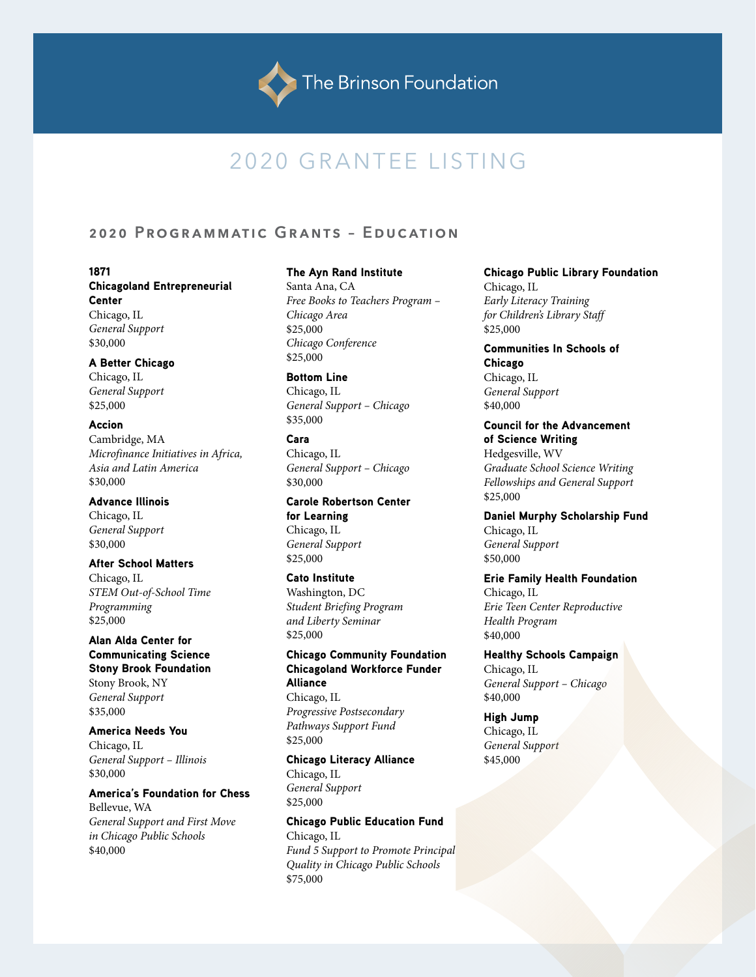# 2020 GRANTEE LISTING

# **2020 Programmatic Grants – Education**

1871 Chicagoland Entrepreneurial Center Chicago, IL *General Support* \$30,000

### A Better Chicago

Chicago, IL *General Support* \$25,000

### Accion

Cambridge, MA *Microfinance Initiatives in Africa, Asia and Latin America* \$30,000

### Advance Illinois

Chicago, IL *General Support* \$30,000

### After School Matters

Chicago, IL *STEM Out-of-School Time Programming* \$25,000

Alan Alda Center for Communicating Science Stony Brook Foundation Stony Brook, NY *General Support* \$35,000

America Needs You Chicago, IL *General Support – Illinois* \$30,000

America's Foundation for Chess Bellevue, WA *General Support and First Move in Chicago Public Schools*  \$40,000

#### The Ayn Rand Institute

Santa Ana, CA *Free Books to Teachers Program – Chicago Area* \$25,000 *Chicago Conference* \$25,000

Bottom Line Chicago, IL *General Support – Chicago* \$35,000

### Cara Chicago, IL *General Support – Chicago* \$30,000

Carole Robertson Center for Learning Chicago, IL *General Support* \$25,000

Cato Institute Washington, DC *Student Briefing Program and Liberty Seminar* \$25,000

Chicago Community Foundation Chicagoland Workforce Funder Alliance Chicago, IL *Progressive Postsecondary Pathways Support Fund* \$25,000

Chicago Literacy Alliance Chicago, IL *General Support* \$25,000

Chicago Public Education Fund Chicago, IL *Fund 5 Support to Promote Principal Quality in Chicago Public Schools* \$75,000

Chicago Public Library Foundation Chicago, IL *Early Literacy Training for Children's Library Staff* \$25,000

Communities In Schools of Chicago Chicago, IL *General Support*  \$40,000

Council for the Advancement of Science Writing Hedgesville, WV *Graduate School Science Writing Fellowships and General Support*  \$25,000

Daniel Murphy Scholarship Fund Chicago, IL *General Support* \$50,000

Erie Family Health Foundation Chicago, IL *Erie Teen Center Reproductive Health Program* \$40,000

Healthy Schools Campaign Chicago, IL *General Support – Chicago* \$40,000

High Jump Chicago, IL *General Support* \$45,000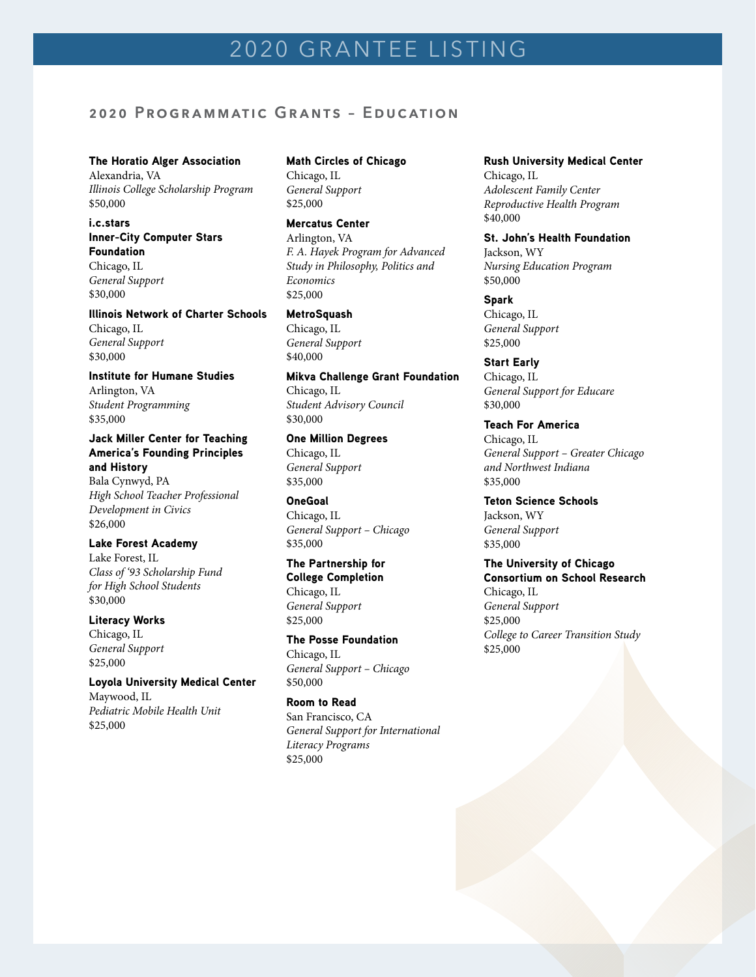# **2020 Programmatic Grants – Education**

#### The Horatio Alger Association

Alexandria, VA *Illinois College Scholarship Program* \$50,000

### i.c.stars Inner-City Computer Stars Foundation Chicago, IL *General Support*

\$30,000

### Illinois Network of Charter Schools

Chicago, IL *General Support* \$30,000

Institute for Humane Studies Arlington, VA *Student Programming* \$35,000

### Jack Miller Center for Teaching America's Founding Principles and History Bala Cynwyd, PA *High School Teacher Professional Development in Civics*

\$26,000

# Lake Forest Academy

Lake Forest, IL *Class of '93 Scholarship Fund for High School Students* \$30,000

## Literacy Works

Chicago, IL *General Support* \$25,000

### Loyola University Medical Center Maywood, IL *Pediatric Mobile Health Unit* \$25,000

### Math Circles of Chicago Chicago, IL *General Support* \$25,000

Mercatus Center Arlington, VA *F. A. Hayek Program for Advanced Study in Philosophy, Politics and Economics* \$25,000

### MetroSquash

Chicago, IL *General Support*  \$40,000

Mikva Challenge Grant Foundation Chicago, IL *Student Advisory Council* \$30,000

### One Million Degrees Chicago, IL *General Support* \$35,000

OneGoal Chicago, IL *General Support – Chicago* \$35,000

### The Partnership for

College Completion Chicago, IL *General Support* \$25,000

### The Posse Foundation Chicago, IL

*General Support – Chicago* \$50,000

### Room to Read

San Francisco, CA *General Support for International Literacy Programs* \$25,000

### Rush University Medical Center Chicago, IL *Adolescent Family Center Reproductive Health Program*

### \$40,000 St. John's Health Foundation

Jackson, WY *Nursing Education Program* \$50,000

Spark Chicago, IL *General Support* \$25,000

### Start Early

Chicago, IL *General Support for Educare* \$30,000

### Teach For America Chicago, IL *General Support – Greater Chicago and Northwest Indiana* \$35,000

Teton Science Schools Jackson, WY *General Support* \$35,000

#### The University of Chicago Consortium on School Research

Chicago, IL *General Support* \$25,000 *College to Career Transition Study* \$25,000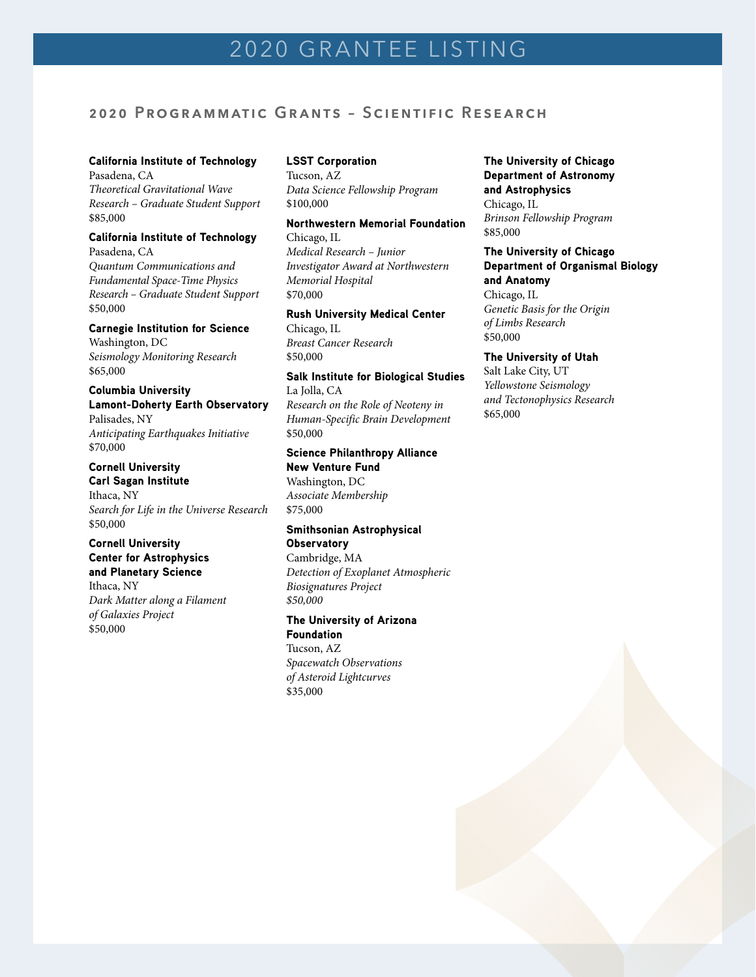# **2020 Programmatic Grants – Scientific Research**

### California Institute of Technology

Pasadena, CA *Theoretical Gravitational Wave Research – Graduate Student Support* \$85,000

### California Institute of Technology

Pasadena, CA *Quantum Communications and Fundamental Space-Time Physics Research – Graduate Student Support* \$50,000

### Carnegie Institution for Science Washington, DC *Seismology Monitoring Research* \$65,000

### Columbia University Lamont-Doherty Earth Observatory Palisades, NY *Anticipating Earthquakes Initiative* \$70,000

### Cornell University

Carl Sagan Institute Ithaca, NY *Search for Life in the Universe Research* \$50,000

### Cornell University Center for Astrophysics and Planetary Science

Ithaca, NY *Dark Matter along a Filament of Galaxies Project* \$50,000

### LSST Corporation

Tucson, AZ *Data Science Fellowship Program*  \$100,000

### Northwestern Memorial Foundation Chicago, IL

*Medical Research – Junior Investigator Award at Northwestern Memorial Hospital* \$70,000

# Rush University Medical Center

Chicago, IL *Breast Cancer Research* \$50,000

#### Salk Institute for Biological Studies La Jolla, CA

*Research on the Role of Neoteny in Human-Specific Brain Development* \$50,000

# Science Philanthropy Alliance New Venture Fund

Washington, DC *Associate Membership* \$75,000

### Smithsonian Astrophysical **Observatory**

Cambridge, MA *Detection of Exoplanet Atmospheric Biosignatures Project \$50,000*

### The University of Arizona Foundation Tucson, AZ *Spacewatch Observations of Asteroid Lightcurves*

\$35,000

The University of Chicago Department of Astronomy and Astrophysics Chicago, IL *Brinson Fellowship Program* \$85,000

### The University of Chicago Department of Organismal Biology and Anatomy

Chicago, IL *Genetic Basis for the Origin of Limbs Research* \$50,000

### The University of Utah

Salt Lake City, UT *Yellowstone Seismology and Tectonophysics Research* \$65,000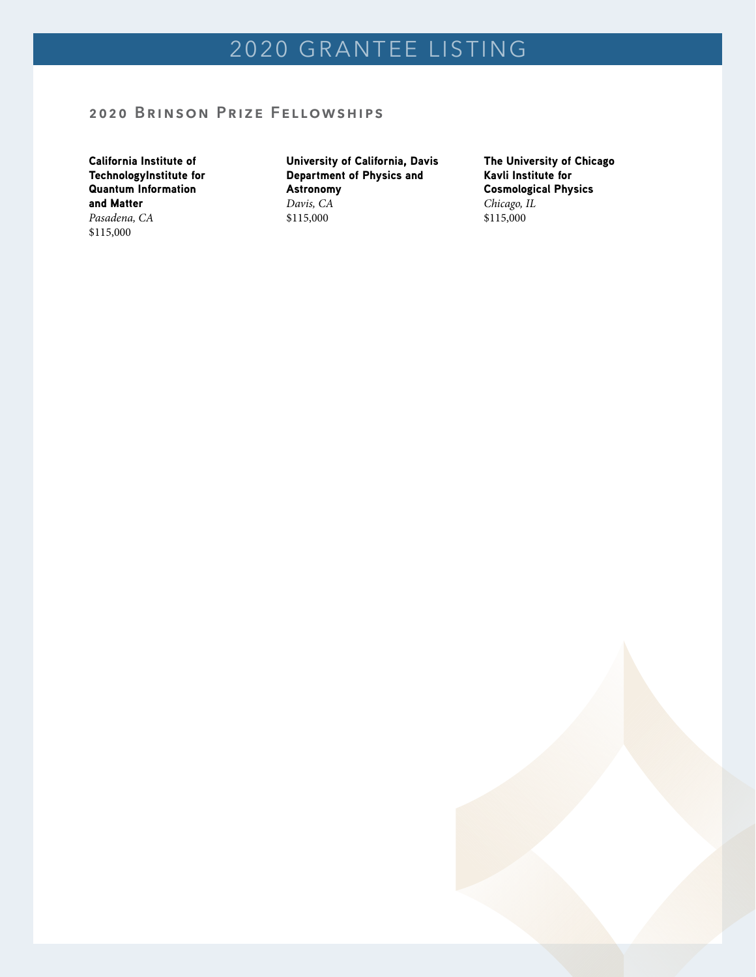# **2020 Brinson Prize Fellowships**

California Institute of TechnologyInstitute for Quantum Information and Matter *Pasadena, CA*

\$115,000

University of California, Davis Department of Physics and Astronomy *Davis, CA* \$115,000

The University of Chicago Kavli Institute for Cosmological Physics *Chicago, IL* \$115,000

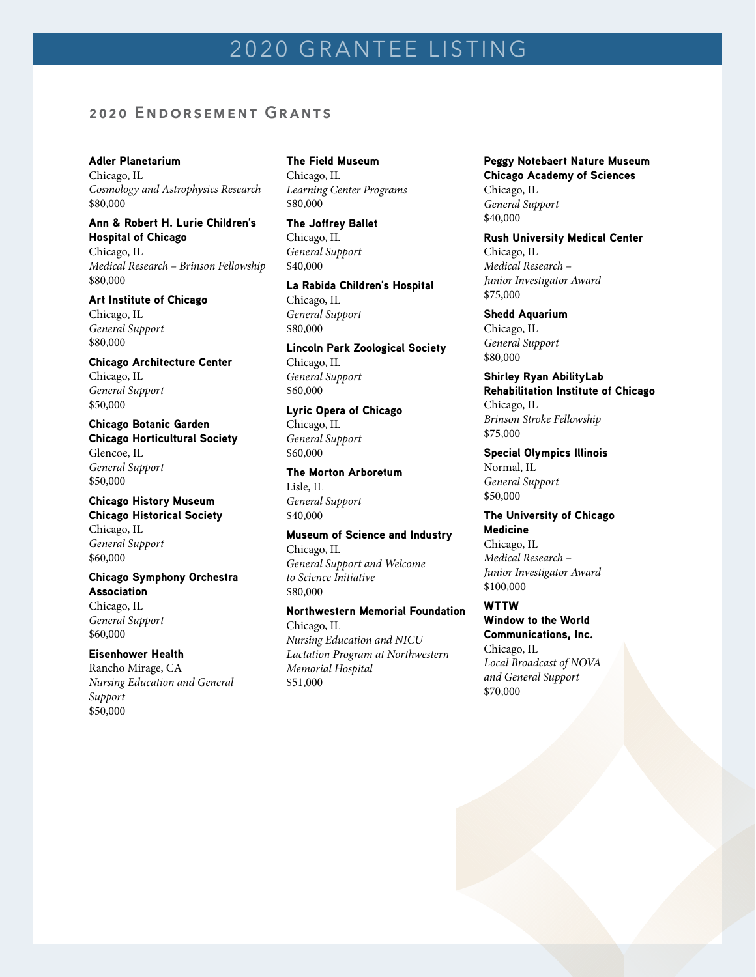# 2020 GRANTEE LISTING

# **2020 Endorsement Grants**

#### Adler Planetarium

Chicago, IL *Cosmology and Astrophysics Research* \$80,000

### Ann & Robert H. Lurie Children's Hospital of Chicago

Chicago, IL *Medical Research – Brinson Fellowship* \$80,000

#### Art Institute of Chicago

Chicago, IL *General Support* \$80,000

Chicago Architecture Center Chicago, IL *General Support* \$50,000

Chicago Botanic Garden Chicago Horticultural Society Glencoe, IL *General Support* \$50,000

### Chicago History Museum Chicago Historical Society Chicago, IL *General Support* \$60,000

Chicago Symphony Orchestra Association Chicago, IL

*General Support* \$60,000

### Eisenhower Health

Rancho Mirage, CA *Nursing Education and General Support* \$50,000

# The Field Museum Chicago, IL

*Learning Center Programs* \$80,000

### The Joffrey Ballet Chicago, IL *General Support* \$40,000

La Rabida Children's Hospital Chicago, IL *General Support* \$80,000

Lincoln Park Zoological Society Chicago, IL *General Support* \$60,000

Lyric Opera of Chicago Chicago, IL *General Support* \$60,000

### The Morton Arboretum

Lisle, IL *General Support* \$40,000

\$51,000

Museum of Science and Industry Chicago, IL *General Support and Welcome to Science Initiative* \$80,000

### Northwestern Memorial Foundation Chicago, IL *Nursing Education and NICU Lactation Program at Northwestern Memorial Hospital*

Peggy Notebaert Nature Museum Chicago Academy of Sciences Chicago, IL *General Support* \$40,000

Rush University Medical Center Chicago, IL

*Medical Research – Junior Investigator Award* \$75,000

Shedd Aquarium Chicago, IL *General Support* \$80,000

Shirley Ryan AbilityLab Rehabilitation Institute of Chicago Chicago, IL *Brinson Stroke Fellowship* \$75,000

Special Olympics Illinois Normal, IL *General Support* \$50,000

The University of Chicago Medicine Chicago, IL *Medical Research – Junior Investigator Award* \$100,000

# WTTW Window to the World Communications, Inc. Chicago, IL

*Local Broadcast of NOVA and General Support* \$70,000